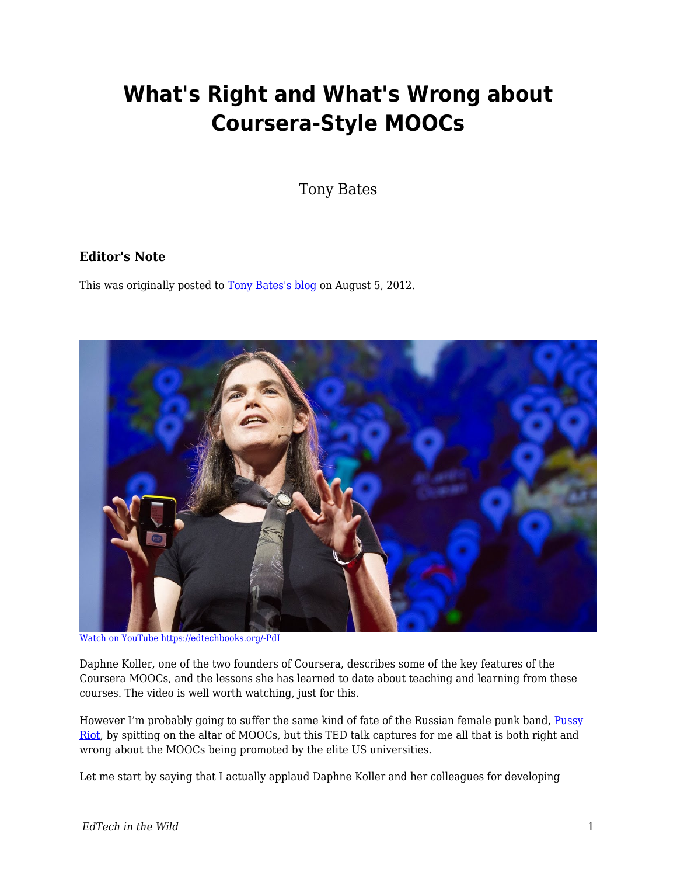# **What's Right and What's Wrong about Coursera-Style MOOCs**

Tony Bates

#### **Editor's Note**

This was originally posted to **Tony Bates's blog** on August 5, 2012.



[Watch on YouTube https://edtechbooks.org/-PdI](https://www.youtube.com/embed/U6FvJ6jMGHU?autoplay=1&rel=0&showinfo=0&modestbranding=1)

Daphne Koller, one of the two founders of Coursera, describes some of the key features of the Coursera MOOCs, and the lessons she has learned to date about teaching and learning from these courses. The video is well worth watching, just for this.

However I'm probably going to suffer the same kind of fate of the Russian female punk band, [Pussy](http://content.usatoday.com/communities/ondeadline/post/2012/07/russian-punk-band-pussy-riot-plead-not-guilty/1#.UB7_dmmXQQA) [Riot,](http://content.usatoday.com/communities/ondeadline/post/2012/07/russian-punk-band-pussy-riot-plead-not-guilty/1#.UB7_dmmXQQA) by spitting on the altar of MOOCs, but this TED talk captures for me all that is both right and wrong about the MOOCs being promoted by the elite US universities.

Let me start by saying that I actually applaud Daphne Koller and her colleagues for developing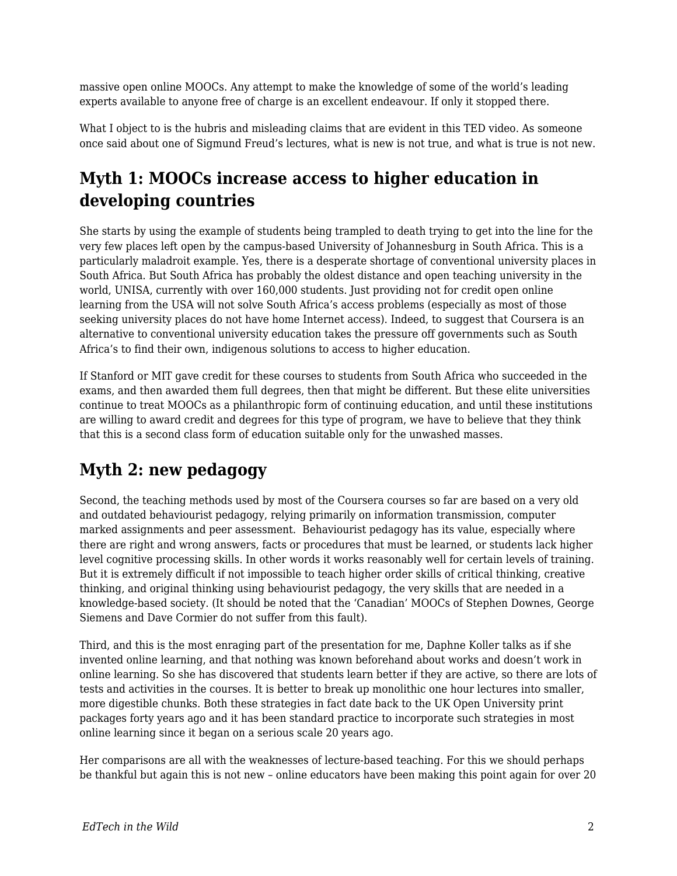massive open online MOOCs. Any attempt to make the knowledge of some of the world's leading experts available to anyone free of charge is an excellent endeavour. If only it stopped there.

What I object to is the hubris and misleading claims that are evident in this TED video. As someone once said about one of Sigmund Freud's lectures, what is new is not true, and what is true is not new.

## **Myth 1: MOOCs increase access to higher education in developing countries**

She starts by using the example of students being trampled to death trying to get into the line for the very few places left open by the campus-based University of Johannesburg in South Africa. This is a particularly maladroit example. Yes, there is a desperate shortage of conventional university places in South Africa. But South Africa has probably the oldest distance and open teaching university in the world, UNISA, currently with over 160,000 students. Just providing not for credit open online learning from the USA will not solve South Africa's access problems (especially as most of those seeking university places do not have home Internet access). Indeed, to suggest that Coursera is an alternative to conventional university education takes the pressure off governments such as South Africa's to find their own, indigenous solutions to access to higher education.

If Stanford or MIT gave credit for these courses to students from South Africa who succeeded in the exams, and then awarded them full degrees, then that might be different. But these elite universities continue to treat MOOCs as a philanthropic form of continuing education, and until these institutions are willing to award credit and degrees for this type of program, we have to believe that they think that this is a second class form of education suitable only for the unwashed masses.

## **Myth 2: new pedagogy**

Second, the teaching methods used by most of the Coursera courses so far are based on a very old and outdated behaviourist pedagogy, relying primarily on information transmission, computer marked assignments and peer assessment. Behaviourist pedagogy has its value, especially where there are right and wrong answers, facts or procedures that must be learned, or students lack higher level cognitive processing skills. In other words it works reasonably well for certain levels of training. But it is extremely difficult if not impossible to teach higher order skills of critical thinking, creative thinking, and original thinking using behaviourist pedagogy, the very skills that are needed in a knowledge-based society. (It should be noted that the 'Canadian' MOOCs of Stephen Downes, George Siemens and Dave Cormier do not suffer from this fault).

Third, and this is the most enraging part of the presentation for me, Daphne Koller talks as if she invented online learning, and that nothing was known beforehand about works and doesn't work in online learning. So she has discovered that students learn better if they are active, so there are lots of tests and activities in the courses. It is better to break up monolithic one hour lectures into smaller, more digestible chunks. Both these strategies in fact date back to the UK Open University print packages forty years ago and it has been standard practice to incorporate such strategies in most online learning since it began on a serious scale 20 years ago.

Her comparisons are all with the weaknesses of lecture-based teaching. For this we should perhaps be thankful but again this is not new – online educators have been making this point again for over 20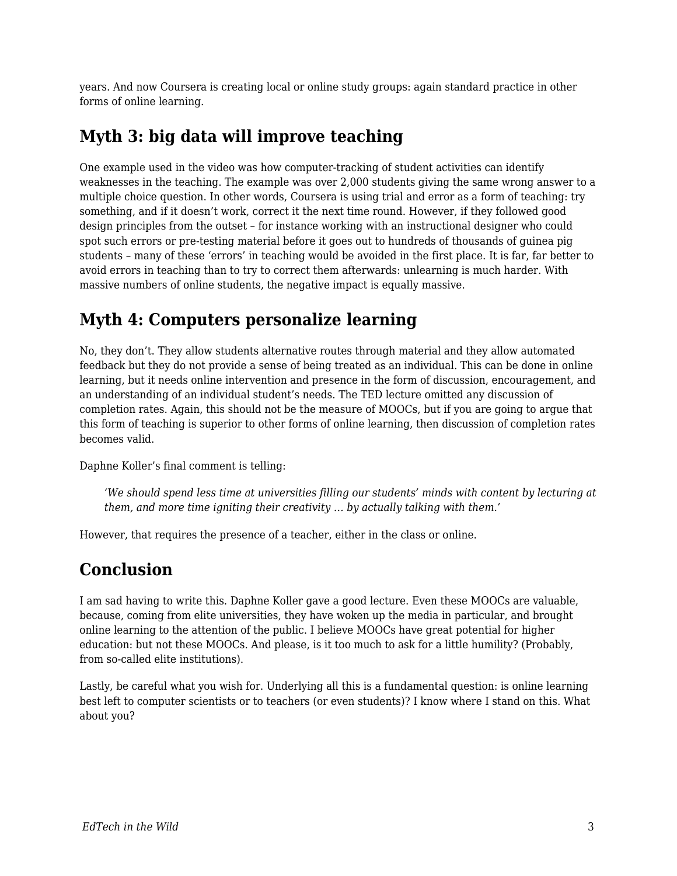years. And now Coursera is creating local or online study groups: again standard practice in other forms of online learning.

### **Myth 3: big data will improve teaching**

One example used in the video was how computer-tracking of student activities can identify weaknesses in the teaching. The example was over 2,000 students giving the same wrong answer to a multiple choice question. In other words, Coursera is using trial and error as a form of teaching: try something, and if it doesn't work, correct it the next time round. However, if they followed good design principles from the outset – for instance working with an instructional designer who could spot such errors or pre-testing material before it goes out to hundreds of thousands of guinea pig students – many of these 'errors' in teaching would be avoided in the first place. It is far, far better to avoid errors in teaching than to try to correct them afterwards: unlearning is much harder. With massive numbers of online students, the negative impact is equally massive.

## **Myth 4: Computers personalize learning**

No, they don't. They allow students alternative routes through material and they allow automated feedback but they do not provide a sense of being treated as an individual. This can be done in online learning, but it needs online intervention and presence in the form of discussion, encouragement, and an understanding of an individual student's needs. The TED lecture omitted any discussion of completion rates. Again, this should not be the measure of MOOCs, but if you are going to argue that this form of teaching is superior to other forms of online learning, then discussion of completion rates becomes valid.

Daphne Koller's final comment is telling:

*'We should spend less time at universities filling our students' minds with content by lecturing at them, and more time igniting their creativity … by actually talking with them.'* 

However, that requires the presence of a teacher, either in the class or online.

#### **Conclusion**

I am sad having to write this. Daphne Koller gave a good lecture. Even these MOOCs are valuable, because, coming from elite universities, they have woken up the media in particular, and brought online learning to the attention of the public. I believe MOOCs have great potential for higher education: but not these MOOCs. And please, is it too much to ask for a little humility? (Probably, from so-called elite institutions).

Lastly, be careful what you wish for. Underlying all this is a fundamental question: is online learning best left to computer scientists or to teachers (or even students)? I know where I stand on this. What about you?